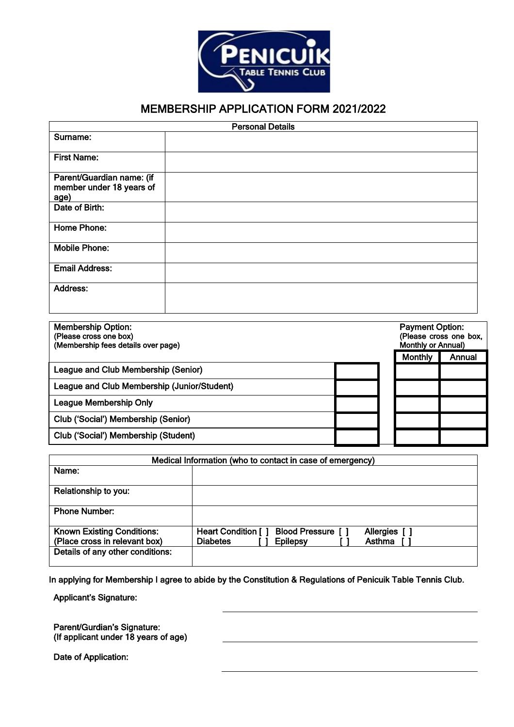

## MEMBERSHIP APPLICATION FORM 2021/2022

| <b>Personal Details</b>                                       |  |  |
|---------------------------------------------------------------|--|--|
| Surname:                                                      |  |  |
| <b>First Name:</b>                                            |  |  |
| Parent/Guardian name: (if<br>member under 18 years of<br>age) |  |  |
| Date of Birth:                                                |  |  |
| Home Phone:                                                   |  |  |
| <b>Mobile Phone:</b>                                          |  |  |
| <b>Email Address:</b>                                         |  |  |
| <b>Address:</b>                                               |  |  |

| <b>Membership Option:</b><br>(Please cross one box)<br>(Membership fees details over page) | <b>Payment Option:</b><br>(Please cross one box,<br><b>Monthly or Annual)</b> |        |
|--------------------------------------------------------------------------------------------|-------------------------------------------------------------------------------|--------|
|                                                                                            | <b>Monthly</b>                                                                | Annual |
| League and Club Membership (Senior)                                                        |                                                                               |        |
| League and Club Membership (Junior/Student)                                                |                                                                               |        |
| <b>League Membership Only</b>                                                              |                                                                               |        |
| Club ('Social') Membership (Senior)                                                        |                                                                               |        |
| Club ('Social') Membership (Student)                                                       |                                                                               |        |

| Medical Information (who to contact in case of emergency) |                                                                          |  |  |  |
|-----------------------------------------------------------|--------------------------------------------------------------------------|--|--|--|
| Name:                                                     |                                                                          |  |  |  |
| Relationship to you:                                      |                                                                          |  |  |  |
| <b>Phone Number:</b>                                      |                                                                          |  |  |  |
| <b>Known Existing Conditions:</b>                         | <b>Blood Pressure</b> [ ]<br><b>Heart Condition [ ]</b><br>Allergies [ ] |  |  |  |
| (Place cross in relevant box)                             | Asthma<br><b>Diabetes</b><br><b>Epilepsy</b>                             |  |  |  |
| Details of any other conditions:                          |                                                                          |  |  |  |

In applying for Membership I agree to abide by the Constitution & Regulations of Penicuik Table Tennis Club.

Applicant's Signature:

Parent/Gurdian's Signature: (If applicant under 18 years of age)

Date of Application: